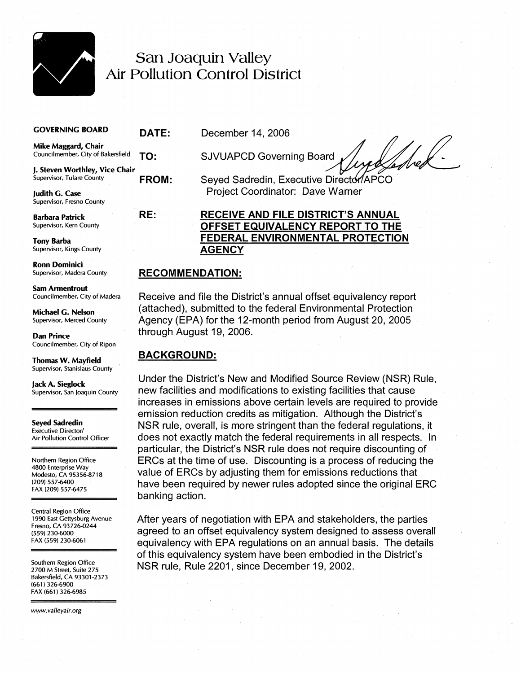

# San Joaquin Valley Air Pollution Control District

|  |  |  | <b>GOVERNING BOARD</b> |  |  |
|--|--|--|------------------------|--|--|
|--|--|--|------------------------|--|--|

**Mike Maggard, Chair** 

**j. Steven Worthley, Vice Chair** 

Supervisor, Fresno County

**Supervisor, Kings County** 

**Ronn Dominici** 

**Sam Armentrout** 

Councilmember, City of Ripon

Supervisor, Stanislaus County

**Seyed Sadredin Executive Director/** Air Pollution Control Officer

Northern Region Office 4800 Enterprise Way Modesto, CA 95356-8718 (209) 557-6400 FAX (209) 557-6475

Central Region Office 1990 East Gettysburg Avenue<br>Fresno, CA 93726-0244

Southern Region Office<br>2700 M Street, Suite 275 Bakersfield, CA 93301-2373 (661) 326-6900 FAX (661) 326-6985

www.valleyair.org

**DATE:** December 14, 2006

**TO:** SJVUAPCD Governing Board

**FROM:** Seyed Sadredin, Executive Director/APCO **Judith G. Case** Project Coordinator: Dave Warner

# **Barbara Patrick RE: RECEIVE AND FILE DISTRICT'S ANNUAL OFFSET EQUIVALENCY REPORT TO THE Tony Barba**<br>
Supervisor, Kings County<br> **AGENCY**<br> **AGENCY**

#### Supervisor, Madera county **RECOMMENDATION:**

~ouncllmember~ cltyof~adera Receive and file the District's annual offset equivalency report **Michael G. Nelson** (attached), submitted to the federal Environmental Protection<br> **Supervisor, Merced County Agency (EPA)** for the 12-month period from August 20, 2005 Agency (EPA) for the 12-month period from August 20, 2005 **Dan Prince through August 19, 2006.** 

## **Thomas W. Mavfield BACKGROUND:**

**Jack A. Sieglock Under the District's New and Modified Source Review (NSR) Rule,**<br> *Supervisor, San Joaquin County* new facilities and modifications to existing facilities that cause new facilities and modifications to existing facilities that cause increases in emissions above certain levels are required to provide emission reduction credits as mitigation. Although the District's NSR rule, overall, is more stringent than the federal regulations, it does not exactly match the federal requirements in all respects. In particular, the District's NSR rule does not require discounting of ERCs at the time of use. Discounting is a process of reducing the value of ERCs by adjusting them for emissions reductions that have been required by newer rules adopted since the original ERC banking action.

After years of negotiation with EPA and stakeholders, the parties residences as the state of the agreed to an offset equivalency system designed to assess overall<br>
EAX 559 230-6061<br>
EAX 559 230-6061 equivalency with EPA regulations on an annual basis. The details of this equivalency system have been embodied in the District's NSR rule, Rule 2201, since December 19, 2002.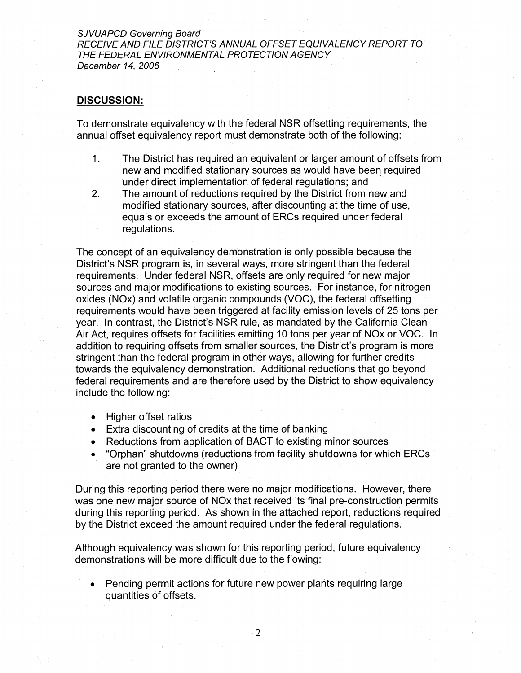SJVUAPCD Governing Board RECEIVE AND FILE DISTRICT'S ANNUAL OFFSET EQUIVALENCY REPORT TO THE FEDERAL ENVIRONMENTAL PROTECTION AGENCY December 14, 2006

#### **DISCUSSION:**

To demonstrate equivalency with the federal NSR offsetting requirements, the annual offset equivalency report must demonstrate both of the following:

- 1. The District has required an equivalent or larger amount of offsets from new and modified stationary sources as would have been required under direct implementation of federal regulations; and
- 2. The amount of reductions required by the District from new and modified stationary sources, after discounting at the time of use, equals or exceeds the amount of ERCs required under federal regulations.

The concept of an equivalency demonstration is only possible because the District's NSR program is, in several ways, more stringent than the federal requirements. Under federal NSR, offsets are only required for new major sources and major modifications to existing sources. For instance, for nitrogen oxides (NOx) and volatile organic compounds (VOC), the federal offsetting requirements would have been triggered at facility emission levels of 25 tons per year. In contrast, the District's NSR rule, as mandated by the California Clean Air Act, requires offsets for facilities emitting 10 tons per year of NOx or VOC. In addition to requiring offsets from smaller sources, the District's program is more stringent than the federal program in other ways, allowing for further credits towards the equivalency demonstration. Additional reductions that go beyond federal requirements and are therefore used by the District to show equivalency include the following:

- Higher offset ratios
- Extra discounting of credits at the time of banking
- Reductions from application of BACT to existing minor sources
- "Orphan" shutdowns (reductions from facility shutdowns for which ERCs are not granted to the owner)

During this reporting period there were no major modifications. However, there was one new major source of NOx that received its final pre-construction permits during this reporting period. As shown in the attached report, reductions required by the District exceed the amount required under the federal regulations.

Although equivalency was shown for this reporting period, future equivalency demonstrations will be more difficult due to the flowing:

Pending permit actions for future new power plants requiring large quantities of offsets.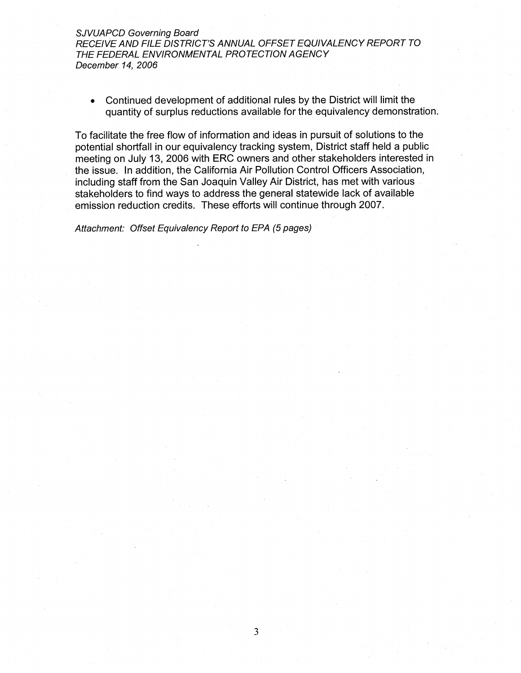SJVUAPCD Governing Board RECEIVE AND FILE DISTRICT'S ANNUAL OFFSET EQUIVALENCY REPORT TO THE FEDERAL ENVIRONMENTAL PROTECTION AGENCY December 14, 2006

Continued development of additional rules by the District will limit the quantity of surplus reductions available for the equivalency demonstration.

To facilitate the free flow of information and ideas in pursuit of solutions to the potential shortfall in our equivalency tracking system, District staff held a public meeting on July 13, 2006 with ERC owners and other stakeholders interested in the issue. In addition, the California Air Pollution Control Officers Association, including staff from the San Joaquin Valley Air District, has met with various stakeholders to find ways to address the general statewide lack of available emission reduction credits. These efforts will continue through 2007.

Attachment: Offset Equivalency Report to EPA (5 pages)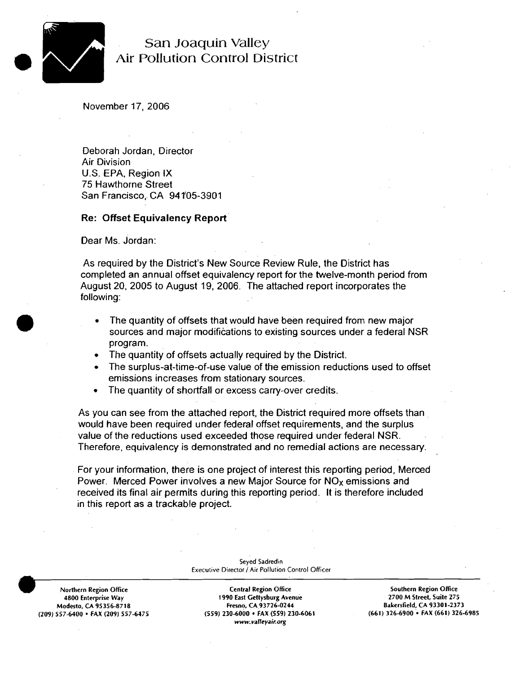

### San Joaquin Valley Air Pollution Control District

November 17, 2006

Deborah Jordan, Director Air Division U.S. EPA. Region **IX**  75 Hawthorne Street San Francisco, CA 941'05-3901

#### **Re: Offset Equivalency Report**

Dear Ms. Jordan:

As required by the District's New Source Review Rule, the District has completed an annual offset equivalency report for the twelve-month period from August 20, 2005 to August 19, 2006. The attached report incorporates the following:

- The quantity of offsets that would have been required from new major sources and major modifications to existing sources under a federal NSR program.
- The quantity of offsets actually required by the District.  $\bullet$
- The surplus-at-time-of-use value of the emission reductions used to offset emissions increases from stationary sources.
- The quantity of shortfall or excess carry-over credits.

As you can see from the attached report, the District required more offsets than would have been required under federal offset requirements, and the surplus value of the reductions used exceeded those required under federal NSR. Therefore, equivalency is demonstrated and no remedial actions are necessary.

For your information, there is one project of interest this reporting period, Merced Power. Merced Power involves a new Major Source for  $NO<sub>X</sub>$  emissions and received its final air permits during this reporting period. It is therefore included in this report as a trackable project.

> **Seyed Sadredin Executive Director / Air Pollution Control Officer**

**(209) 557-6400 FAX (209) 557-6475 (559) 230-6000 FAX (559) 230-6061 (661) 326-6900 FAX (661) 326-6985** 

**Northern Region Office Central Region Office Southern Region Office 4800 Enterprise Way 1990 East Gettysburg Avenue 2700 M Modesto, C.4 95356-8718 Fresno, CA 93726-0244 Bakersfield, CA 93301-2373**  www.valleyair.org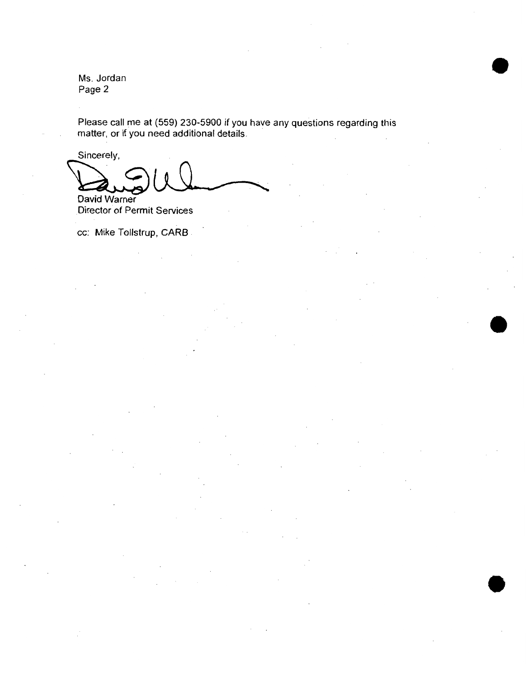Ms. Jordan Page 2

Please call me at (559) 230-5900 if you have any questions regarding this matter, or if you need additional details.

Sincerely,

David Warner

Director of Permit Services

cc: Mike Tollstrup, **CAR0**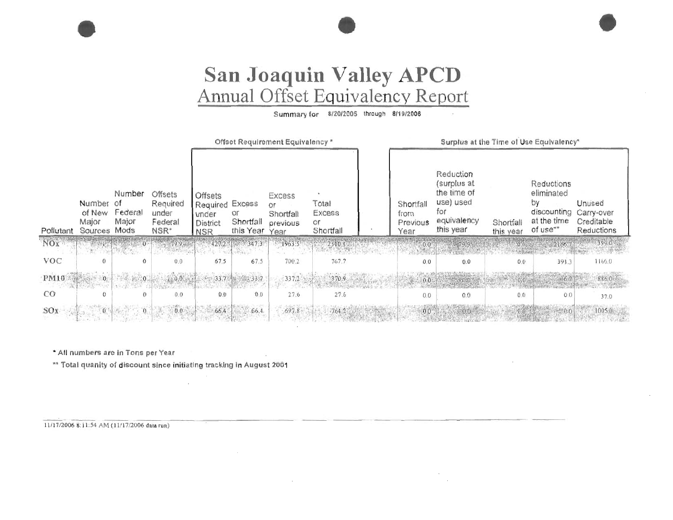# San Joaquin Valley APCD<br>Annual Offset Equivalency Report

Summary for 8/20/2005 through 8/19/2006

|            |                                      |                                                       |                                                  | Offset Requirement Equivalency *                   |                                                           |                                     |                                    | Surplus at the Time of Use Equivalency* |                                              |                        |                                              |                                                  |
|------------|--------------------------------------|-------------------------------------------------------|--------------------------------------------------|----------------------------------------------------|-----------------------------------------------------------|-------------------------------------|------------------------------------|-----------------------------------------|----------------------------------------------|------------------------|----------------------------------------------|--------------------------------------------------|
|            |                                      | Number                                                | Offsets                                          | <b>Offsets</b>                                     |                                                           | Excess                              |                                    |                                         | Reduction<br>(surplus at<br>the time of      |                        | Reductions<br>eliminated                     |                                                  |
| Pollutant  | Number<br>of New<br>Major<br>Sources | $\circ$ <sup>t</sup><br>Federal<br>Major<br>Mods      | Required<br>under<br>Federal<br>NSR <sup>*</sup> | Required<br>under<br><b>District</b><br><b>NSR</b> | Excess<br>Оr<br>Shortfall<br>this Year                    | or<br>Shortfall<br>previous<br>Year | Total<br>Excess<br>or<br>Shortfall | Shortfall<br>from<br>Previous<br>Year   | use) used<br>for<br>equivalency<br>this year | Shortfall<br>this year | by<br>discounting<br>at the time<br>of use** | Unused<br>Carry-over<br>Creditable<br>Reductions |
| NOX        |                                      | $\mathbf{0}$                                          | $79.9 -$                                         |                                                    | 427.2.5 347.3<br>$\mathbf{L} \in \mathbb{R}^{N \times N}$ | 1963.5                              | 2310.8                             |                                         | - 79.9.                                      |                        | 2166.7                                       |                                                  |
| <b>VOC</b> | $\Omega$                             | $\Omega$                                              | 0.0                                              | 67.5                                               | 67.5                                                      | 700.2                               | 767.7                              | 0.0                                     | 0.0                                          | 0.0                    | 391.3                                        | 1166.0                                           |
| PM10       | $10^{10}$                            | $\mathcal{L}_{\mathcal{L}}=\mathcal{L}_{\mathcal{L}}$ |                                                  | $-33.7$                                            | <b>图 2023 33:7</b>                                        | (337.2)                             | 370.9                              | $-0.0$                                  |                                              |                        |                                              | 886.0                                            |
| CO         | $\overline{O}$                       | Ð                                                     | 0.0                                              | 0.0                                                | 0.0                                                       | 27.6                                | 27.6                               | 0.0                                     | 0.0                                          | 0.0                    | 0,0                                          | 37.0                                             |
| SOx        |                                      |                                                       | 0.0                                              | 664                                                | 66.4                                                      | 697.8                               |                                    | 0.0                                     | 00                                           |                        |                                              | 1005.0                                           |

\* All numbers are in Tons per Year

\*\* Total quanity of discount since initiating tracking in August 2001

 $\cdot$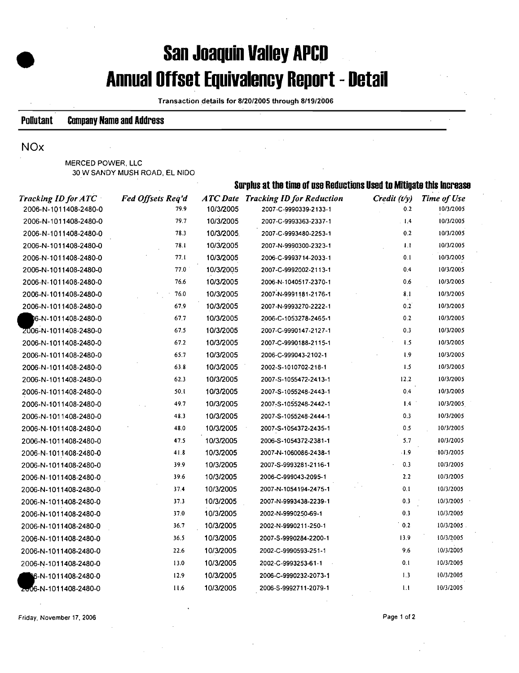# **San Joaquin Valley APCD Annual Offset Equivalency Report** - **Detail**

**Transaction details for 8/20/2005 through 8/19/2006** 

#### **Pollutant Campany.Name and Address**

#### NOx

**MERCED POWER. LLC 30 W SANDY MUSH ROAD, EL NlDO** 

|                            |                          | Surplus at the time of use Reductions Used to Mitigate this Increase |                                           |                  |                    |  |  |
|----------------------------|--------------------------|----------------------------------------------------------------------|-------------------------------------------|------------------|--------------------|--|--|
| <b>Tracking ID for ATC</b> | <b>Fed Offsets Req'd</b> |                                                                      | <b>ATC Date Tracking ID for Reduction</b> | Credit $(t/y)$   | <b>Time of Use</b> |  |  |
| 2006-N-1011408-2480-0      | 79.9                     | 10/3/2005                                                            | 2007-C-9990339-2133-1                     | 0.2              | 10/3/2005          |  |  |
| 2006-N-1011408-2480-0      | 79.7                     | 10/3/2005                                                            | 2007-C-9993363-2337-1                     | $\overline{1.4}$ | 10/3/2005          |  |  |
| 2006-N-1011408-2480-0      | 78.3                     | 10/3/2005                                                            | 2007-C-9993480-2253-1                     | 0.2              | 10/3/2005          |  |  |
| 2006-N-1011408-2480-0      | 78.1                     | 10/3/2005                                                            | 2007-N-9990300-2323-1                     | 1.1              | 10/3/2005          |  |  |
| 2006-N-1011408-2480-0      | 77.1                     | 10/3/2005                                                            | 2006-C-9993714-2033-1                     | 0.1              | 10/3/2005          |  |  |
| 2006-N-1011408-2480-0      | 77.0                     | 10/3/2005                                                            | 2007-C-9992002-2113-1                     | 0.4              | 10/3/2005          |  |  |
| 2006-N-1011408-2480-0      | 76.6                     | 10/3/2005                                                            | 2006-N-1040517-2370-1                     | 0.6              | 10/3/2005          |  |  |
| 2006-N-1011408-2480-0      | 76.0                     | 10/3/2005                                                            | 2007-N-9991181-2176-1                     | 8.1              | 10/3/2005          |  |  |
| 2006-N-1011408-2480-0      | 67.9                     | 10/3/2005                                                            | 2007-N-9993270-2222-1                     | 0.2              | 10/3/2005          |  |  |
| 06-N-1011408-2480-0        | 67.7                     | 10/3/2005                                                            | 2006-C-1053278-2465-1                     | 0.2              | 10/3/2005          |  |  |
| 2006-N-1011408-2480-0      | 67.5                     | 10/3/2005                                                            | 2007-C-9990147-2127-1                     | 0.3              | 10/3/2005          |  |  |
| 2006-N-1011408-2480-0      | 67.2                     | 10/3/2005                                                            | 2007-C-9990188-2115-1                     | 1.5              | 10/3/2005          |  |  |
| 2006-N-1011408-2480-0      | 65.7                     | 10/3/2005                                                            | 2006-C-999043-2102-1                      | 1.9              | 10/3/2005          |  |  |
| 2006-N-1011408-2480-0      | 63.8                     | 10/3/2005                                                            | 2002-S-1010702-218-1                      | 1.5              | 10/3/2005          |  |  |
| 2006-N-1011408-2480-0      | 62.3                     | 10/3/2005                                                            | 2007-S-1055472-2413-1                     | 12.2             | 10/3/2005          |  |  |
| 2006-N-1011408-2480-0      | 50.1                     | 10/3/2005                                                            | 2007-S-1055248-2443-1                     | 0.4              | 10/3/2005          |  |  |
| 2006-N-1011408-2480-0      | 49.7                     | 10/3/2005                                                            | 2007-S-1055248-2442-1                     | 1.4              | 10/3/2005          |  |  |
| 2006-N-1011408-2480-0      | 48.3                     | 10/3/2005                                                            | 2007-S-1055248-2444-1                     | 0.3              | 10/3/2005          |  |  |
| 2006-N-1011408-2480-0      | 48.0                     | 10/3/2005                                                            | 2007-S-1054372-2435-1                     | 0.5              | 10/3/2005          |  |  |
| 2006-N-1011408-2480-0      | 47.5                     | 10/3/2005                                                            | 2006-S-1054372-2381-1                     | 5.7              | 10/3/2005          |  |  |
| 2006-N-1011408-2480-0      | 41.8                     | 10/3/2005                                                            | 2007-N-1060086-2438-1                     | $-1.9$           | 10/3/2005          |  |  |
| 2006-N-1011408-2480-0      | 39.9                     | 10/3/2005                                                            | 2007-S-9993281-2116-1                     | 0.3              | 10/3/2005          |  |  |
| 2006-N-1011408-2480-0      | 39.6                     | 10/3/2005                                                            | 2006-C-999043-2095-1                      | 2.2              | 10/3/2005          |  |  |
| 2006-N-1011408-2480-0      | 37.4                     | 10/3/2005                                                            | 2007-N-1054194-2475-1                     | 0.1              | 10/3/2005          |  |  |
| 2006-N-1011408-2480-0      | 37.3                     | 10/3/2005                                                            | 2007-N-9993438-2239-1                     | 0.3              | 10/3/2005          |  |  |
| 2006-N-1011408-2480-0      | 37.0                     | 10/3/2005                                                            | 2002-N-9990250-69-1                       | 0.3              | 10/3/2005          |  |  |
| 2006-N-1011408-2480-0      | 36.7                     | 10/3/2005                                                            | 2002-N-9990211-250-1                      | 0.2              | 10/3/2005.         |  |  |
| 2006-N-1011408-2480-0      | 36.5                     | 10/3/2005                                                            | 2007-S-9990284-2200-1                     | 13.9             | 10/3/2005          |  |  |
| 2006-N-1011408-2480-0      | 22.6                     | 10/3/2005                                                            | 2002-C-9990593-251-1                      | 9.6              | 10/3/2005          |  |  |
| 2006-N-1011408-2480-0      | 13.0                     | 10/3/2005                                                            | 2002-C-9993253-61-1                       | 0.1              | 10/3/2005          |  |  |
| 6-N-1011408-2480-0         | 12.9                     | 10/3/2005                                                            | 2006-C-9990232-2073-1                     | 1.3              | 10/3/2005          |  |  |
| Zo06-N-1011408-2480-0      | 11.6                     | 10/3/2005                                                            | 2006-S-9992711-2079-1                     | 1.1              | 10/3/2005          |  |  |
|                            |                          |                                                                      |                                           |                  |                    |  |  |

**Friday. November 17. 2006 Page 1 of 2**